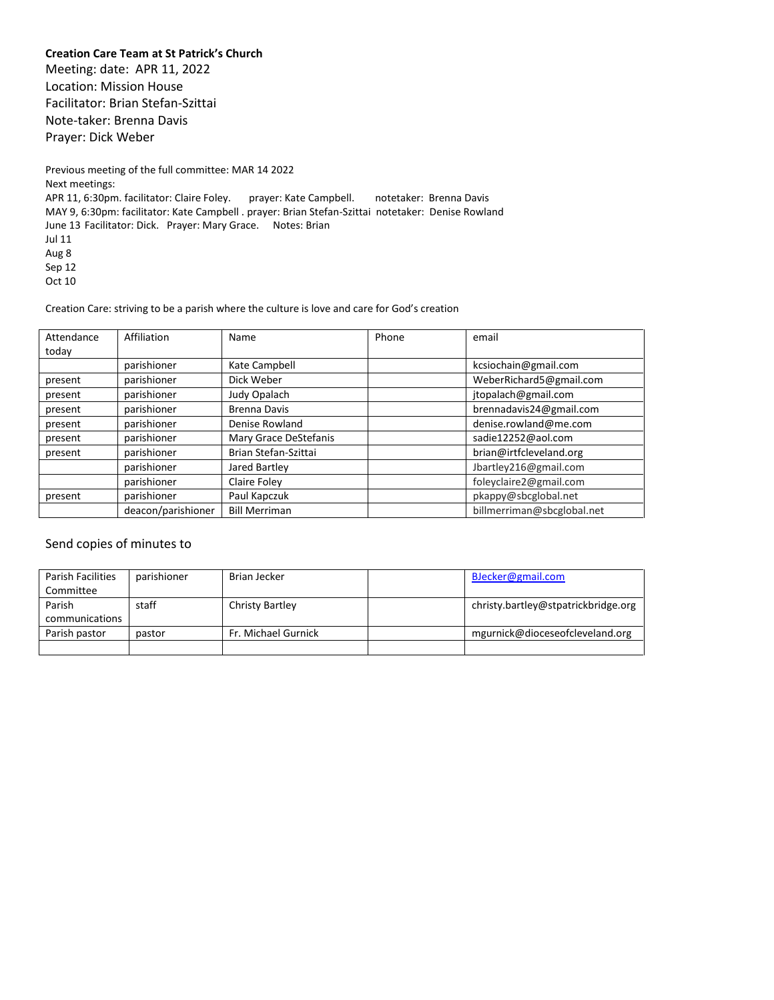**Creation Care Team at St Patrick's Church**

Meeting: date: APR 11, 2022 Location: Mission House Facilitator: Brian Stefan-Szittai Note-taker: Brenna Davis Prayer: Dick Weber

Previous meeting of the full committee: MAR 14 2022 Next meetings: APR 11, 6:30pm. facilitator: Claire Foley. prayer: Kate Campbell. notetaker: Brenna Davis MAY 9, 6:30pm: facilitator: Kate Campbell . prayer: Brian Stefan-Szittai notetaker: Denise Rowland June 13 Facilitator: Dick. Prayer: Mary Grace. Notes: Brian Jul 11 Aug 8 Sep 12 Oct 10

Creation Care: striving to be a parish where the culture is love and care for God's creation

| Attendance | Affiliation        | <b>Name</b>           | Phone | email                      |
|------------|--------------------|-----------------------|-------|----------------------------|
| today      |                    |                       |       |                            |
|            | parishioner        | Kate Campbell         |       | kcsiochain@gmail.com       |
| present    | parishioner        | Dick Weber            |       | WeberRichard5@gmail.com    |
| present    | parishioner        | Judy Opalach          |       | jtopalach@gmail.com        |
| present    | parishioner        | <b>Brenna Davis</b>   |       | brennadavis24@gmail.com    |
| present    | parishioner        | Denise Rowland        |       | denise.rowland@me.com      |
| present    | parishioner        | Mary Grace DeStefanis |       | sadie12252@aol.com         |
| present    | parishioner        | Brian Stefan-Szittai  |       | brian@irtfcleveland.org    |
|            | parishioner        | Jared Bartley         |       | Jbartley216@gmail.com      |
|            | parishioner        | Claire Foley          |       | foleyclaire2@gmail.com     |
| present    | parishioner        | Paul Kapczuk          |       | pkappy@sbcglobal.net       |
|            | deacon/parishioner | <b>Bill Merriman</b>  |       | billmerriman@sbcglobal.net |

#### Send copies of minutes to

| Parish Facilities | parishioner | Brian Jecker        | BJecker@gmail.com                   |
|-------------------|-------------|---------------------|-------------------------------------|
| Committee         |             |                     |                                     |
| Parish            | staff       | Christy Bartley     | christy.bartley@stpatrickbridge.org |
| communications    |             |                     |                                     |
| Parish pastor     | pastor      | Fr. Michael Gurnick | mgurnick@dioceseofcleveland.org     |
|                   |             |                     |                                     |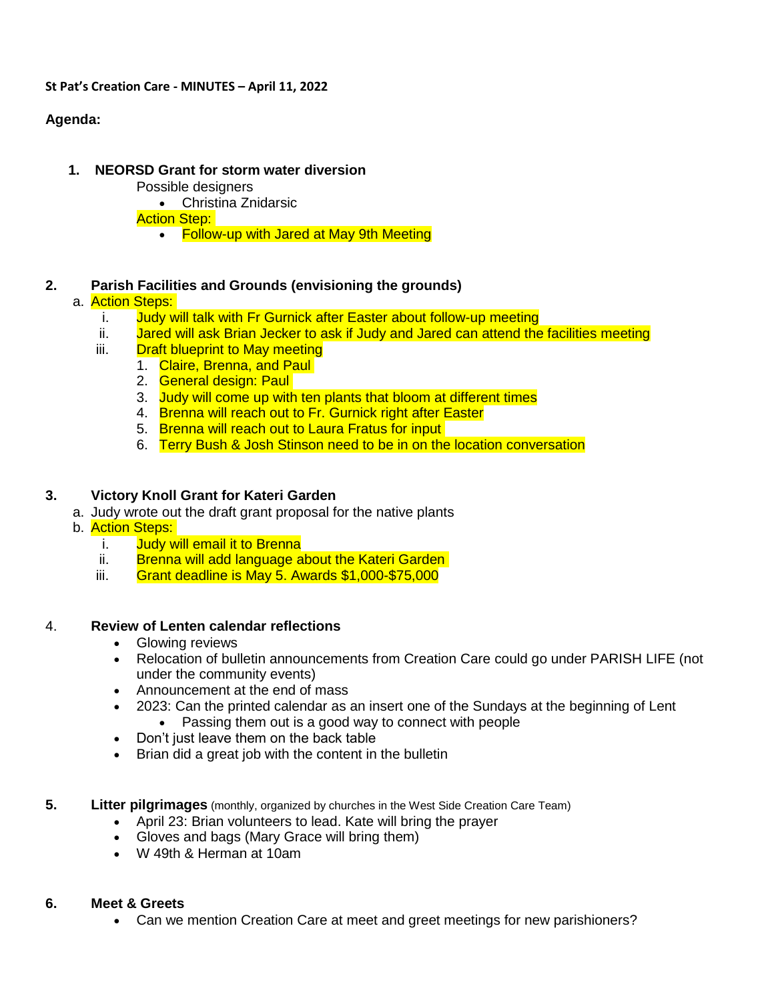#### **St Pat's Creation Care - MINUTES – April 11, 2022**

# **Agenda:**

## **1. NEORSD Grant for storm water diversion**

- Possible designers
	- Christina Znidarsic

**Action Step:** 

• Follow-up with Jared at May 9th Meeting

## **2. Parish Facilities and Grounds (envisioning the grounds)**

## a. Action Steps:

- i. Judy will talk with Fr Gurnick after Easter about follow-up meeting
- ii. Jared will ask Brian Jecker to ask if Judy and Jared can attend the facilities meeting
- iii. **Draft blueprint to May meeting** 
	- 1. Claire, Brenna, and Paul
		- 2. General design: Paul
		- 3. Judy will come up with ten plants that bloom at different times
		- 4. Brenna will reach out to Fr. Gurnick right after Easter
		- 5. Brenna will reach out to Laura Fratus for input
		- 6. Terry Bush & Josh Stinson need to be in on the location conversation

## **3. Victory Knoll Grant for Kateri Garden**

- a. Judy wrote out the draft grant proposal for the native plants
- b. Action Steps:
	- i. Judy will email it to Brenna
	- ii. Brenna will add language about the Kateri Garden
	- iii. Grant deadline is May 5. Awards \$1,000-\$75,000

## 4. **Review of Lenten calendar reflections**

- Glowing reviews
- Relocation of bulletin announcements from Creation Care could go under PARISH LIFE (not under the community events)
- Announcement at the end of mass
- 2023: Can the printed calendar as an insert one of the Sundays at the beginning of Lent
	- Passing them out is a good way to connect with people
- Don't just leave them on the back table
- Brian did a great job with the content in the bulletin
- **5. Litter pilgrimages** (monthly, organized by churches in the West Side Creation Care Team)
	- April 23: Brian volunteers to lead. Kate will bring the prayer
	- Gloves and bags (Mary Grace will bring them)
	- W 49th & Herman at 10am

## **6. Meet & Greets**

Can we mention Creation Care at meet and greet meetings for new parishioners?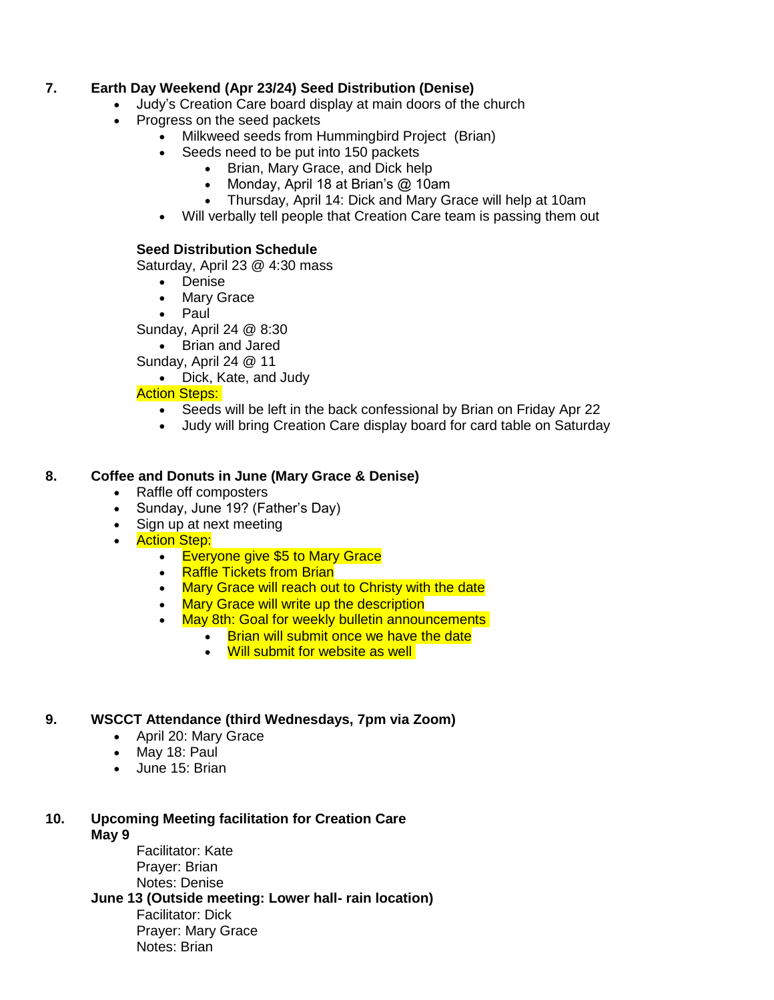## **7. Earth Day Weekend (Apr 23/24) Seed Distribution (Denise)**

- Judy's Creation Care board display at main doors of the church
- Progress on the seed packets
	- Milkweed seeds from Hummingbird Project (Brian)
	- Seeds need to be put into 150 packets
		- Brian, Mary Grace, and Dick help
		- Monday, April 18 at Brian's @ 10am
		- Thursday, April 14: Dick and Mary Grace will help at 10am
	- Will verbally tell people that Creation Care team is passing them out

## **Seed Distribution Schedule**

Saturday, April 23 @ 4:30 mass

- Denise
- Mary Grace
- Paul

Sunday, April 24 @ 8:30

• Brian and Jared

Sunday, April 24 @ 11

Dick, Kate, and Judy

## **Action Steps:**

- Seeds will be left in the back confessional by Brian on Friday Apr 22
- Judy will bring Creation Care display board for card table on Saturday

## **8. Coffee and Donuts in June (Mary Grace & Denise)**

- Raffle off composters
- Sunday, June 19? (Father's Day)
- Sign up at next meeting
- Action Step:
	- **Everyone give \$5 to Mary Grace**
	- Raffle Tickets from Brian
	- Mary Grace will reach out to Christy with the date
	- Mary Grace will write up the description
	- May 8th: Goal for weekly bulletin announcements
		- Brian will submit once we have the date
			- Will submit for website as well

## **9. WSCCT Attendance (third Wednesdays, 7pm via Zoom)**

- April 20: Mary Grace
- May 18: Paul
- June 15: Brian
- **10. Upcoming Meeting facilitation for Creation Care May 9**
	- Facilitator: Kate Prayer: Brian Notes: Denise

**June 13 (Outside meeting: Lower hall- rain location)**

Facilitator: Dick Prayer: Mary Grace Notes: Brian